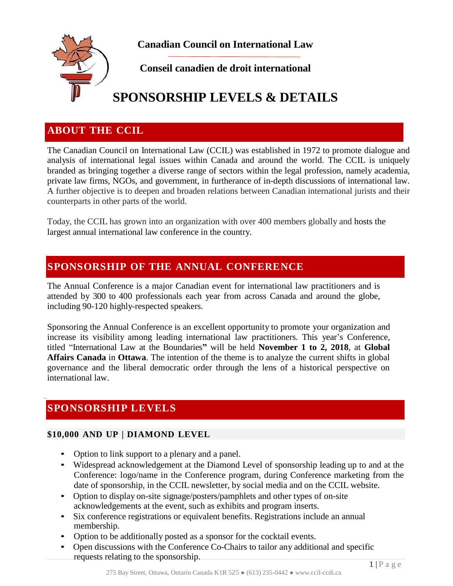

**Canadian Council on International Law**

### **Conseil canadien de droit international**

# **SPONSORSHIP LEVELS & DETAILS**

### **ABOUT THE CCIL**

The Canadian Council on International Law (CCIL) was established in 1972 to promote dialogue and analysis of international legal issues within Canada and around the world. The CCIL is uniquely branded as bringing together a diverse range of sectors within the legal profession, namely academia, private law firms, NGOs, and government, in furtherance of in-depth discussions of international law. A further objective is to deepen and broaden relations between Canadian international jurists and their counterparts in other parts of the world.

Today, the CCIL has grown into an organization with over 400 members globally and hosts the largest annual international law conference in the country.

### **SPONSORSHIP OF THE ANNUAL CONFERENCE**

The Annual Conference is a major Canadian event for international law practitioners and is attended by 300 to 400 professionals each year from across Canada and around the globe, including 90-120 highly-respected speakers.

Sponsoring the Annual Conference is an excellent opportunity to promote your organization and increase its visibility among leading international law practitioners. This year's Conference, titled "International Law at the Boundaries**"** will be held **November 1 to 2, 2018**, at **Global Affairs Canada** in **Ottawa**. The intention of the theme is to analyze the current shifts in global governance and the liberal democratic order through the lens of a historical perspective on international law.

## **SPONSORSHIP LEVELS**

#### **\$10,000 AND UP | DIAMOND LEVEL**

- Option to link support to a plenary and a panel.
- Widespread acknowledgement at the Diamond Level of sponsorship leading up to and at the Conference: logo/name in the Conference program, during Conference marketing from the date of sponsorship, in the CCIL newsletter, by social media and on the CCIL website.
- Option to display on-site signage/posters/pamphlets and other types of on-site acknowledgements at the event, such as exhibits and program inserts.
- Six conference registrations or equivalent benefits. Registrations include an annual membership.
- Option to be additionally posted as a sponsor for the cocktail events.
- Open discussions with the Conference Co-Chairs to tailor any additional and specific requests relating to the sponsorship.